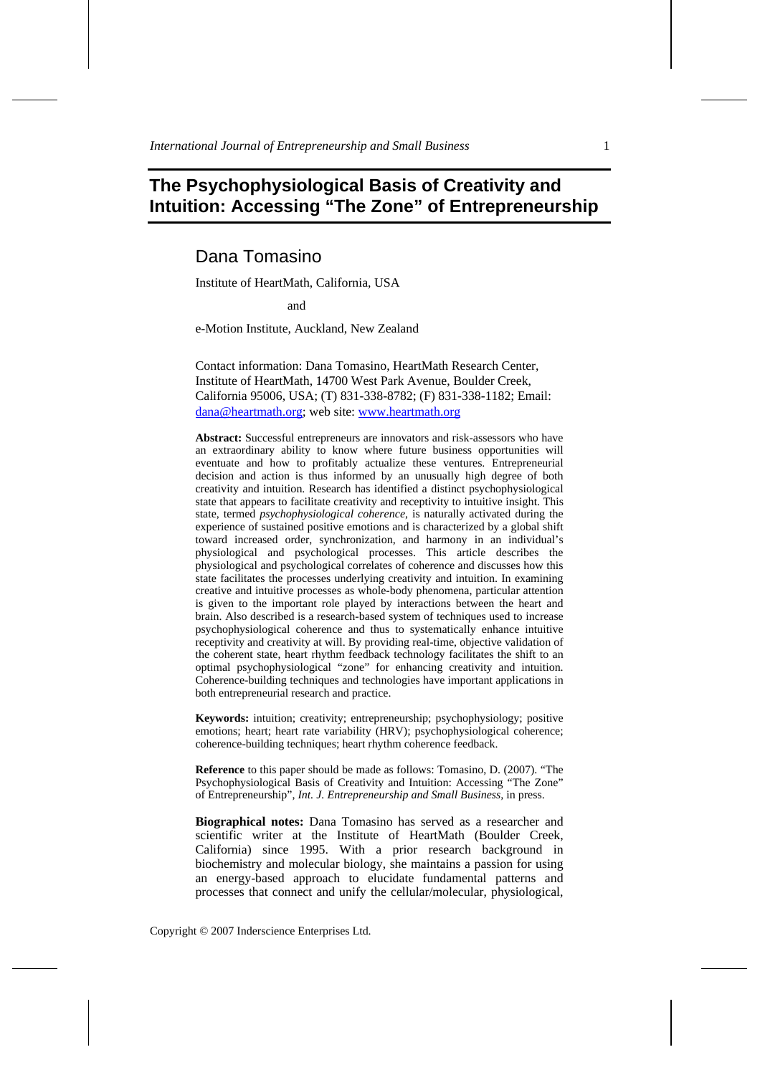# **The Psychophysiological Basis of Creativity and Intuition: Accessing "The Zone" of Entrepreneurship**

## Dana Tomasino

Institute of HeartMath, California, USA

and

e-Motion Institute, Auckland, New Zealand

Contact information: Dana Tomasino, HeartMath Research Center, Institute of HeartMath, 14700 West Park Avenue, Boulder Creek, California 95006, USA; (T) 831-338-8782; (F) 831-338-1182; Email: [dana@heartmath.org;](mailto:dana@heartmath.org) web site: [www.heartmath.org](http://www.heartmath.org/)

**Abstract:** Successful entrepreneurs are innovators and risk-assessors who have an extraordinary ability to know where future business opportunities will eventuate and how to profitably actualize these ventures. Entrepreneurial decision and action is thus informed by an unusually high degree of both creativity and intuition. Research has identified a distinct psychophysiological state that appears to facilitate creativity and receptivity to intuitive insight. This state, termed *psychophysiological coherence*, is naturally activated during the experience of sustained positive emotions and is characterized by a global shift toward increased order, synchronization, and harmony in an individual's physiological and psychological processes. This article describes the physiological and psychological correlates of coherence and discusses how this state facilitates the processes underlying creativity and intuition. In examining creative and intuitive processes as whole-body phenomena, particular attention is given to the important role played by interactions between the heart and brain. Also described is a research-based system of techniques used to increase psychophysiological coherence and thus to systematically enhance intuitive receptivity and creativity at will. By providing real-time, objective validation of the coherent state, heart rhythm feedback technology facilitates the shift to an optimal psychophysiological "zone" for enhancing creativity and intuition. Coherence-building techniques and technologies have important applications in both entrepreneurial research and practice.

**Keywords:** intuition; creativity; entrepreneurship; psychophysiology; positive emotions; heart; heart rate variability (HRV); psychophysiological coherence; coherence-building techniques; heart rhythm coherence feedback.

**Reference** to this paper should be made as follows: Tomasino, D. (2007). "The Psychophysiological Basis of Creativity and Intuition: Accessing "The Zone" of Entrepreneurship", *Int. J. Entrepreneurship and Small Business,* in press.

**Biographical notes:** Dana Tomasino has served as a researcher and scientific writer at the Institute of HeartMath (Boulder Creek, California) since 1995. With a prior research background in biochemistry and molecular biology, she maintains a passion for using an energy-based approach to elucidate fundamental patterns and processes that connect and unify the cellular/molecular, physiological,

Copyright © 2007 Inderscience Enterprises Ltd.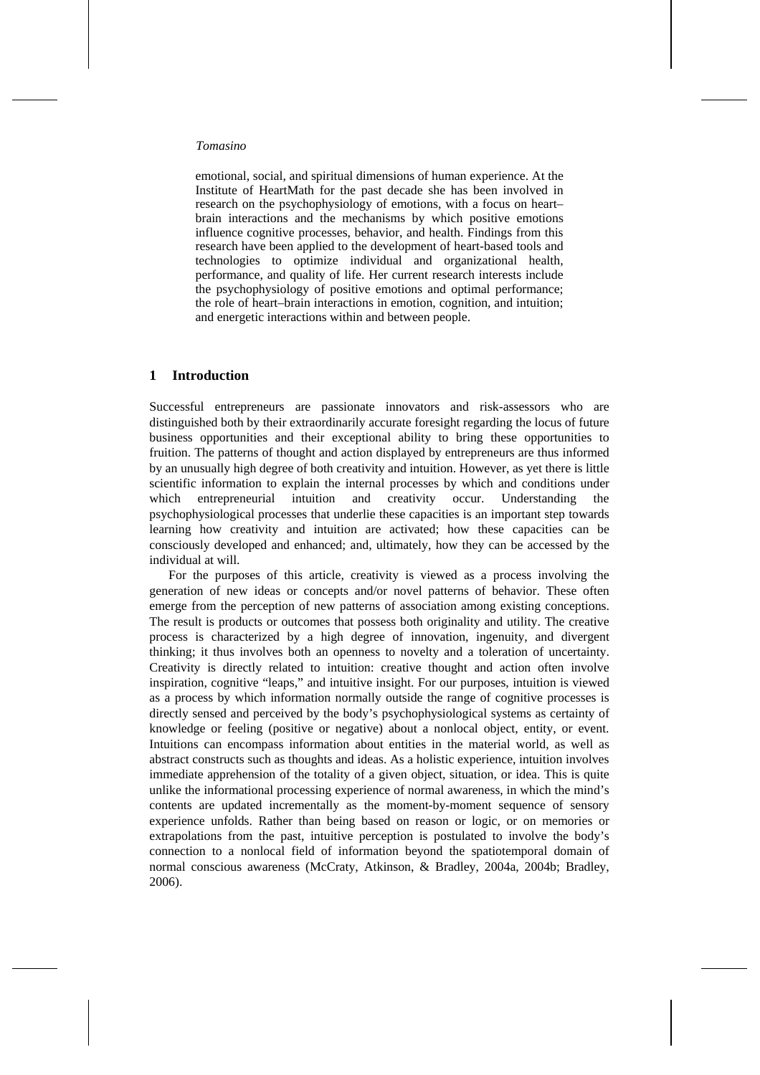emotional, social, and spiritual dimensions of human experience. At the Institute of HeartMath for the past decade she has been involved in research on the psychophysiology of emotions, with a focus on heart– brain interactions and the mechanisms by which positive emotions influence cognitive processes, behavior, and health. Findings from this research have been applied to the development of heart-based tools and technologies to optimize individual and organizational health, performance, and quality of life. Her current research interests include the psychophysiology of positive emotions and optimal performance; the role of heart–brain interactions in emotion, cognition, and intuition; and energetic interactions within and between people.

## **1 Introduction**

Successful entrepreneurs are passionate innovators and risk-assessors who are distinguished both by their extraordinarily accurate foresight regarding the locus of future business opportunities and their exceptional ability to bring these opportunities to fruition. The patterns of thought and action displayed by entrepreneurs are thus informed by an unusually high degree of both creativity and intuition. However, as yet there is little scientific information to explain the internal processes by which and conditions under which entrepreneurial intuition and creativity occur. Understanding the psychophysiological processes that underlie these capacities is an important step towards learning how creativity and intuition are activated; how these capacities can be consciously developed and enhanced; and, ultimately, how they can be accessed by the individual at will.

For the purposes of this article, creativity is viewed as a process involving the generation of new ideas or concepts and/or novel patterns of behavior. These often emerge from the perception of new patterns of association among existing conceptions. The result is products or outcomes that possess both originality and utility. The creative process is characterized by a high degree of innovation, ingenuity, and divergent thinking; it thus involves both an openness to novelty and a toleration of uncertainty. Creativity is directly related to intuition: creative thought and action often involve inspiration, cognitive "leaps," and intuitive insight. For our purposes, intuition is viewed as a process by which information normally outside the range of cognitive processes is directly sensed and perceived by the body's psychophysiological systems as certainty of knowledge or feeling (positive or negative) about a nonlocal object, entity, or event. Intuitions can encompass information about entities in the material world, as well as abstract constructs such as thoughts and ideas. As a holistic experience, intuition involves immediate apprehension of the totality of a given object, situation, or idea. This is quite unlike the informational processing experience of normal awareness, in which the mind's contents are updated incrementally as the moment-by-moment sequence of sensory experience unfolds. Rather than being based on reason or logic, or on memories or extrapolations from the past, intuitive perception is postulated to involve the body's connection to a nonlocal field of information beyond the spatiotemporal domain of normal conscious awareness (McCraty, Atkinson, & Bradley, 2004a, 2004b; Bradley, 2006).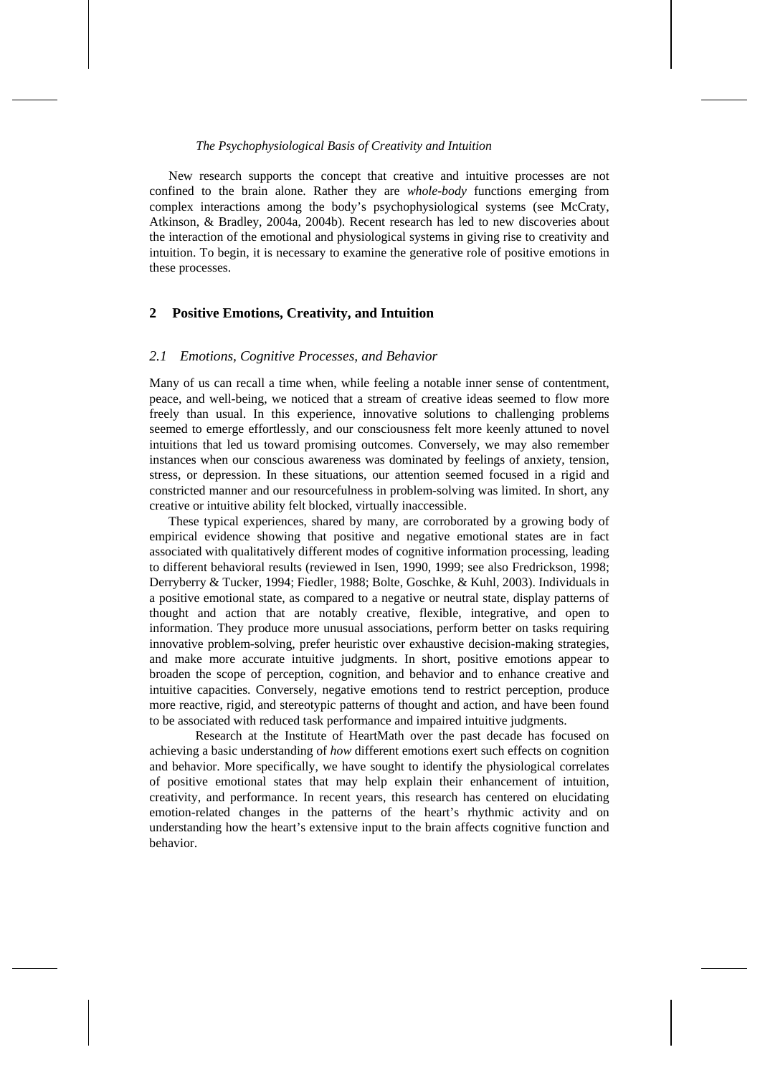New research supports the concept that creative and intuitive processes are not confined to the brain alone. Rather they are *whole-body* functions emerging from complex interactions among the body's psychophysiological systems (see McCraty, Atkinson, & Bradley, 2004a, 2004b). Recent research has led to new discoveries about the interaction of the emotional and physiological systems in giving rise to creativity and intuition. To begin, it is necessary to examine the generative role of positive emotions in these processes.

## **2 Positive Emotions, Creativity, and Intuition**

#### *2.1 Emotions, Cognitive Processes, and Behavior*

Many of us can recall a time when, while feeling a notable inner sense of contentment, peace, and well-being, we noticed that a stream of creative ideas seemed to flow more freely than usual. In this experience, innovative solutions to challenging problems seemed to emerge effortlessly, and our consciousness felt more keenly attuned to novel intuitions that led us toward promising outcomes. Conversely, we may also remember instances when our conscious awareness was dominated by feelings of anxiety, tension, stress, or depression. In these situations, our attention seemed focused in a rigid and constricted manner and our resourcefulness in problem-solving was limited. In short, any creative or intuitive ability felt blocked, virtually inaccessible.

These typical experiences, shared by many, are corroborated by a growing body of empirical evidence showing that positive and negative emotional states are in fact associated with qualitatively different modes of cognitive information processing, leading to different behavioral results (reviewed in Isen, 1990, 1999; see also Fredrickson, 1998; Derryberry & Tucker, 1994; Fiedler, 1988; Bolte, Goschke, & Kuhl, 2003). Individuals in a positive emotional state, as compared to a negative or neutral state, display patterns of thought and action that are notably creative, flexible, integrative, and open to information. They produce more unusual associations, perform better on tasks requiring innovative problem-solving, prefer heuristic over exhaustive decision-making strategies, and make more accurate intuitive judgments. In short, positive emotions appear to broaden the scope of perception, cognition, and behavior and to enhance creative and intuitive capacities. Conversely, negative emotions tend to restrict perception, produce more reactive, rigid, and stereotypic patterns of thought and action, and have been found to be associated with reduced task performance and impaired intuitive judgments.

 Research at the Institute of HeartMath over the past decade has focused on achieving a basic understanding of *how* different emotions exert such effects on cognition and behavior. More specifically, we have sought to identify the physiological correlates of positive emotional states that may help explain their enhancement of intuition, creativity, and performance. In recent years, this research has centered on elucidating emotion-related changes in the patterns of the heart's rhythmic activity and on understanding how the heart's extensive input to the brain affects cognitive function and behavior.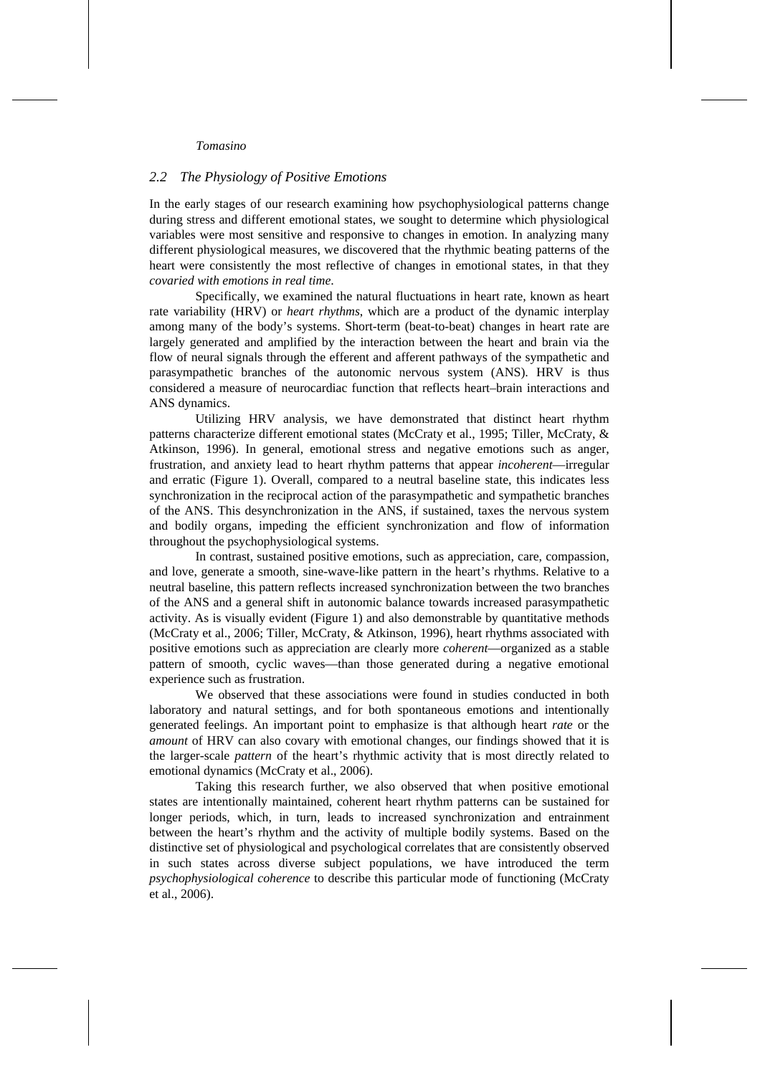## *2.2 The Physiology of Positive Emotions*

In the early stages of our research examining how psychophysiological patterns change during stress and different emotional states, we sought to determine which physiological variables were most sensitive and responsive to changes in emotion. In analyzing many different physiological measures, we discovered that the rhythmic beating patterns of the heart were consistently the most reflective of changes in emotional states, in that they *covaried with emotions in real time*.

 Specifically, we examined the natural fluctuations in heart rate, known as heart rate variability (HRV) or *heart rhythms*, which are a product of the dynamic interplay among many of the body's systems. Short-term (beat-to-beat) changes in heart rate are largely generated and amplified by the interaction between the heart and brain via the flow of neural signals through the efferent and afferent pathways of the sympathetic and parasympathetic branches of the autonomic nervous system (ANS). HRV is thus considered a measure of neurocardiac function that reflects heart–brain interactions and ANS dynamics.

 Utilizing HRV analysis, we have demonstrated that distinct heart rhythm patterns characterize different emotional states (McCraty et al., 1995; Tiller, McCraty, & Atkinson, 1996). In general, emotional stress and negative emotions such as anger, frustration, and anxiety lead to heart rhythm patterns that appear *incoherent*—irregular and erratic (Figure 1). Overall, compared to a neutral baseline state, this indicates less synchronization in the reciprocal action of the parasympathetic and sympathetic branches of the ANS. This desynchronization in the ANS, if sustained, taxes the nervous system and bodily organs, impeding the efficient synchronization and flow of information throughout the psychophysiological systems.

 In contrast, sustained positive emotions, such as appreciation, care, compassion, and love, generate a smooth, sine-wave-like pattern in the heart's rhythms. Relative to a neutral baseline, this pattern reflects increased synchronization between the two branches of the ANS and a general shift in autonomic balance towards increased parasympathetic activity. As is visually evident (Figure 1) and also demonstrable by quantitative methods (McCraty et al., 2006; Tiller, McCraty, & Atkinson, 1996), heart rhythms associated with positive emotions such as appreciation are clearly more *coherent*—organized as a stable pattern of smooth, cyclic waves—than those generated during a negative emotional experience such as frustration.

 We observed that these associations were found in studies conducted in both laboratory and natural settings, and for both spontaneous emotions and intentionally generated feelings. An important point to emphasize is that although heart *rate* or the *amount* of HRV can also covary with emotional changes, our findings showed that it is the larger-scale *pattern* of the heart's rhythmic activity that is most directly related to emotional dynamics (McCraty et al., 2006).

 Taking this research further, we also observed that when positive emotional states are intentionally maintained, coherent heart rhythm patterns can be sustained for longer periods, which, in turn, leads to increased synchronization and entrainment between the heart's rhythm and the activity of multiple bodily systems. Based on the distinctive set of physiological and psychological correlates that are consistently observed in such states across diverse subject populations, we have introduced the term *psychophysiological coherence* to describe this particular mode of functioning (McCraty et al., 2006).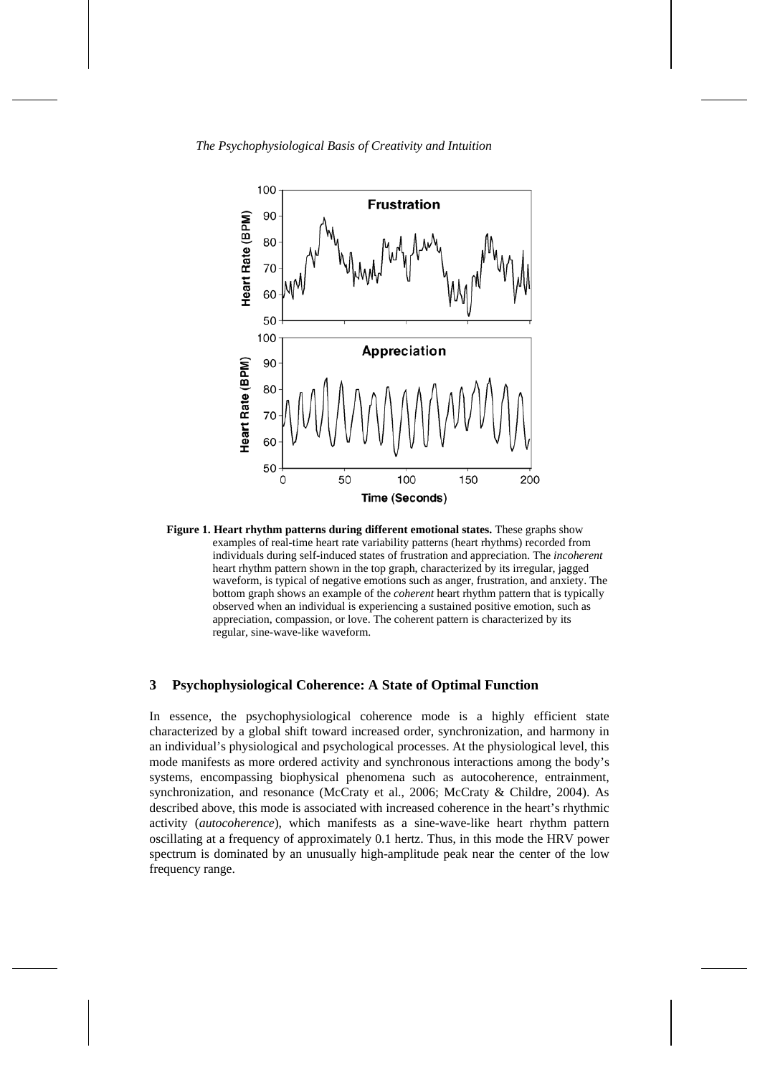

**Figure 1. Heart rhythm patterns during different emotional states.** These graphs show examples of real-time heart rate variability patterns (heart rhythms) recorded from individuals during self-induced states of frustration and appreciation. The *incoherent* heart rhythm pattern shown in the top graph, characterized by its irregular, jagged waveform, is typical of negative emotions such as anger, frustration, and anxiety. The bottom graph shows an example of the *coherent* heart rhythm pattern that is typically observed when an individual is experiencing a sustained positive emotion, such as appreciation, compassion, or love. The coherent pattern is characterized by its regular, sine-wave-like waveform.

## **3 Psychophysiological Coherence: A State of Optimal Function**

In essence, the psychophysiological coherence mode is a highly efficient state characterized by a global shift toward increased order, synchronization, and harmony in an individual's physiological and psychological processes. At the physiological level, this mode manifests as more ordered activity and synchronous interactions among the body's systems, encompassing biophysical phenomena such as autocoherence, entrainment, synchronization, and resonance (McCraty et al., 2006; McCraty & Childre, 2004). As described above, this mode is associated with increased coherence in the heart's rhythmic activity (*autocoherence*), which manifests as a sine-wave-like heart rhythm pattern oscillating at a frequency of approximately 0.1 hertz. Thus, in this mode the HRV power spectrum is dominated by an unusually high-amplitude peak near the center of the low frequency range.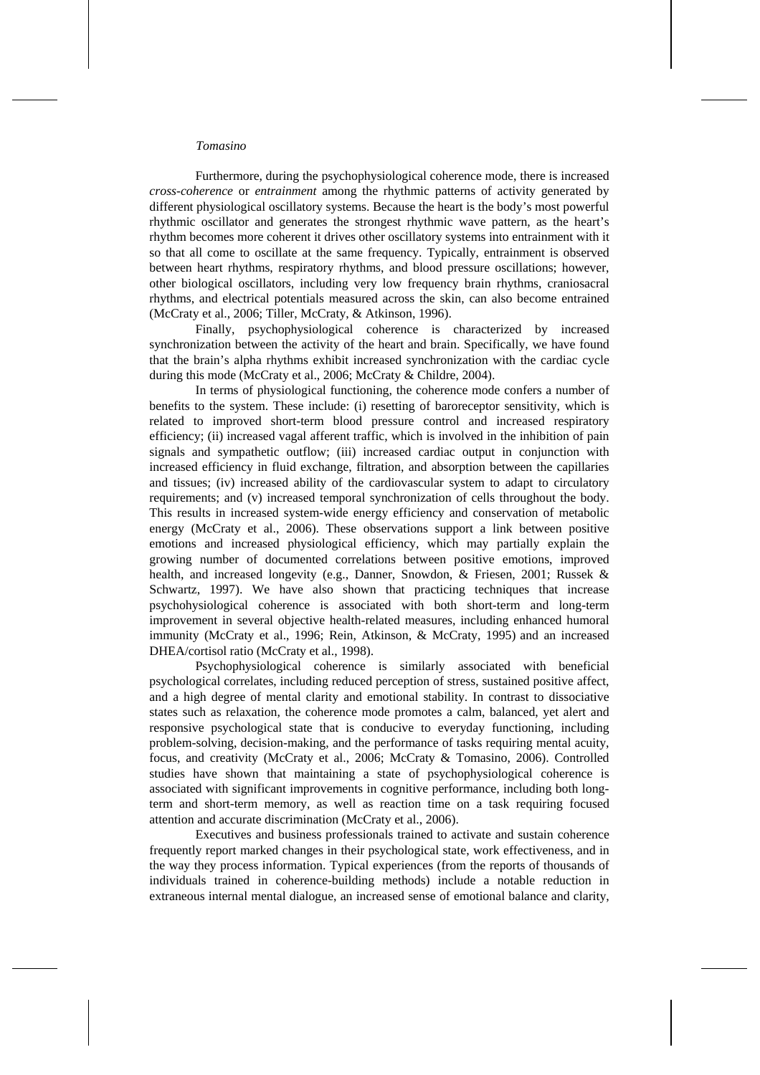Furthermore, during the psychophysiological coherence mode, there is increased *cross-coherence* or *entrainment* among the rhythmic patterns of activity generated by different physiological oscillatory systems. Because the heart is the body's most powerful rhythmic oscillator and generates the strongest rhythmic wave pattern, as the heart's rhythm becomes more coherent it drives other oscillatory systems into entrainment with it so that all come to oscillate at the same frequency. Typically, entrainment is observed between heart rhythms, respiratory rhythms, and blood pressure oscillations; however, other biological oscillators, including very low frequency brain rhythms, craniosacral rhythms, and electrical potentials measured across the skin, can also become entrained (McCraty et al., 2006; Tiller, McCraty, & Atkinson, 1996).

 Finally, psychophysiological coherence is characterized by increased synchronization between the activity of the heart and brain. Specifically, we have found that the brain's alpha rhythms exhibit increased synchronization with the cardiac cycle during this mode (McCraty et al., 2006; McCraty & Childre, 2004).

 In terms of physiological functioning, the coherence mode confers a number of benefits to the system. These include: (i) resetting of baroreceptor sensitivity, which is related to improved short-term blood pressure control and increased respiratory efficiency; (ii) increased vagal afferent traffic, which is involved in the inhibition of pain signals and sympathetic outflow; (iii) increased cardiac output in conjunction with increased efficiency in fluid exchange, filtration, and absorption between the capillaries and tissues; (iv) increased ability of the cardiovascular system to adapt to circulatory requirements; and (v) increased temporal synchronization of cells throughout the body. This results in increased system-wide energy efficiency and conservation of metabolic energy (McCraty et al., 2006). These observations support a link between positive emotions and increased physiological efficiency, which may partially explain the growing number of documented correlations between positive emotions, improved health, and increased longevity (e.g., Danner, Snowdon, & Friesen, 2001; Russek & Schwartz, 1997). We have also shown that practicing techniques that increase psychohysiological coherence is associated with both short-term and long-term improvement in several objective health-related measures, including enhanced humoral immunity (McCraty et al., 1996; Rein, Atkinson, & McCraty, 1995) and an increased DHEA/cortisol ratio (McCraty et al., 1998).

 Psychophysiological coherence is similarly associated with beneficial psychological correlates, including reduced perception of stress, sustained positive affect, and a high degree of mental clarity and emotional stability. In contrast to dissociative states such as relaxation, the coherence mode promotes a calm, balanced, yet alert and responsive psychological state that is conducive to everyday functioning, including problem-solving, decision-making, and the performance of tasks requiring mental acuity, focus, and creativity (McCraty et al., 2006; McCraty & Tomasino, 2006). Controlled studies have shown that maintaining a state of psychophysiological coherence is associated with significant improvements in cognitive performance, including both longterm and short-term memory, as well as reaction time on a task requiring focused attention and accurate discrimination (McCraty et al., 2006).

 Executives and business professionals trained to activate and sustain coherence frequently report marked changes in their psychological state, work effectiveness, and in the way they process information. Typical experiences (from the reports of thousands of individuals trained in coherence-building methods) include a notable reduction in extraneous internal mental dialogue, an increased sense of emotional balance and clarity,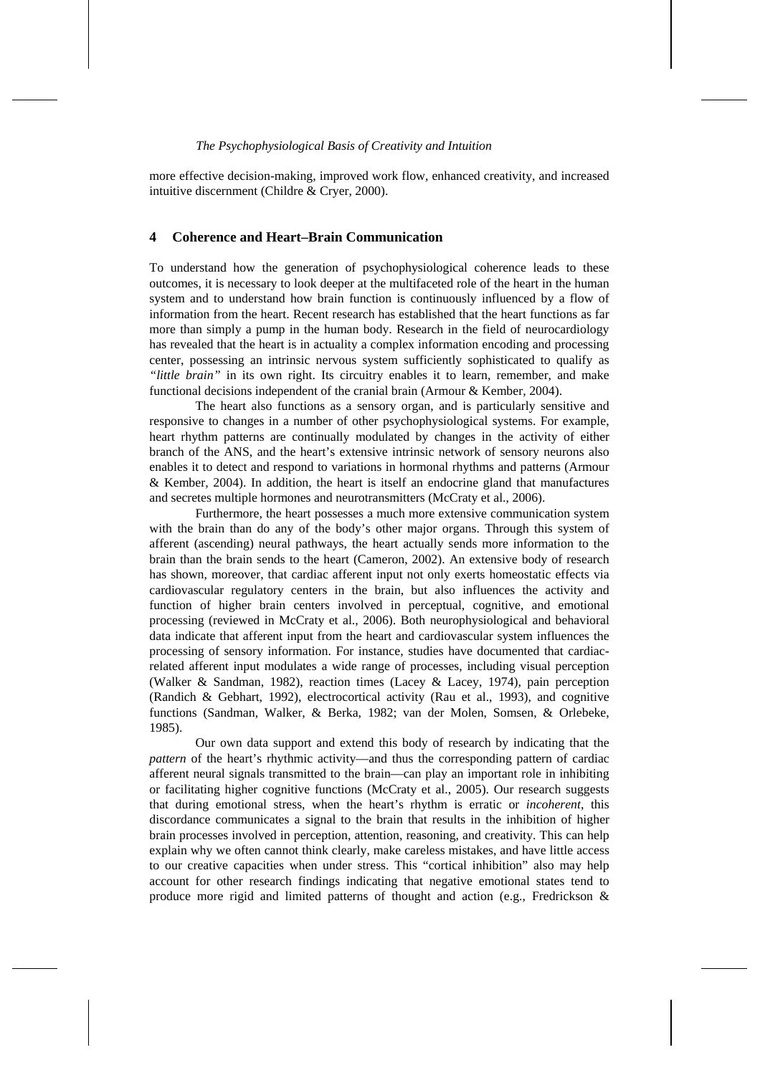more effective decision-making, improved work flow, enhanced creativity, and increased intuitive discernment (Childre & Cryer, 2000).

## **4 Coherence and Heart–Brain Communication**

To understand how the generation of psychophysiological coherence leads to these outcomes, it is necessary to look deeper at the multifaceted role of the heart in the human system and to understand how brain function is continuously influenced by a flow of information from the heart. Recent research has established that the heart functions as far more than simply a pump in the human body. Research in the field of neurocardiology has revealed that the heart is in actuality a complex information encoding and processing center, possessing an intrinsic nervous system sufficiently sophisticated to qualify as *"little brain"* in its own right. Its circuitry enables it to learn, remember, and make functional decisions independent of the cranial brain (Armour & Kember, 2004).

 The heart also functions as a sensory organ, and is particularly sensitive and responsive to changes in a number of other psychophysiological systems. For example, heart rhythm patterns are continually modulated by changes in the activity of either branch of the ANS, and the heart's extensive intrinsic network of sensory neurons also enables it to detect and respond to variations in hormonal rhythms and patterns (Armour & Kember, 2004). In addition, the heart is itself an endocrine gland that manufactures and secretes multiple hormones and neurotransmitters (McCraty et al., 2006).

 Furthermore, the heart possesses a much more extensive communication system with the brain than do any of the body's other major organs. Through this system of afferent (ascending) neural pathways, the heart actually sends more information to the brain than the brain sends to the heart (Cameron, 2002). An extensive body of research has shown, moreover, that cardiac afferent input not only exerts homeostatic effects via cardiovascular regulatory centers in the brain, but also influences the activity and function of higher brain centers involved in perceptual, cognitive, and emotional processing (reviewed in McCraty et al., 2006). Both neurophysiological and behavioral data indicate that afferent input from the heart and cardiovascular system influences the processing of sensory information. For instance, studies have documented that cardiacrelated afferent input modulates a wide range of processes, including visual perception (Walker & Sandman, 1982), reaction times (Lacey & Lacey, 1974), pain perception (Randich & Gebhart, 1992), electrocortical activity (Rau et al., 1993), and cognitive functions (Sandman, Walker, & Berka, 1982; van der Molen, Somsen, & Orlebeke, 1985).

 Our own data support and extend this body of research by indicating that the *pattern* of the heart's rhythmic activity—and thus the corresponding pattern of cardiac afferent neural signals transmitted to the brain—can play an important role in inhibiting or facilitating higher cognitive functions (McCraty et al., 2005). Our research suggests that during emotional stress, when the heart's rhythm is erratic or *incoherent*, this discordance communicates a signal to the brain that results in the inhibition of higher brain processes involved in perception, attention, reasoning, and creativity. This can help explain why we often cannot think clearly, make careless mistakes, and have little access to our creative capacities when under stress. This "cortical inhibition" also may help account for other research findings indicating that negative emotional states tend to produce more rigid and limited patterns of thought and action (e.g., Fredrickson &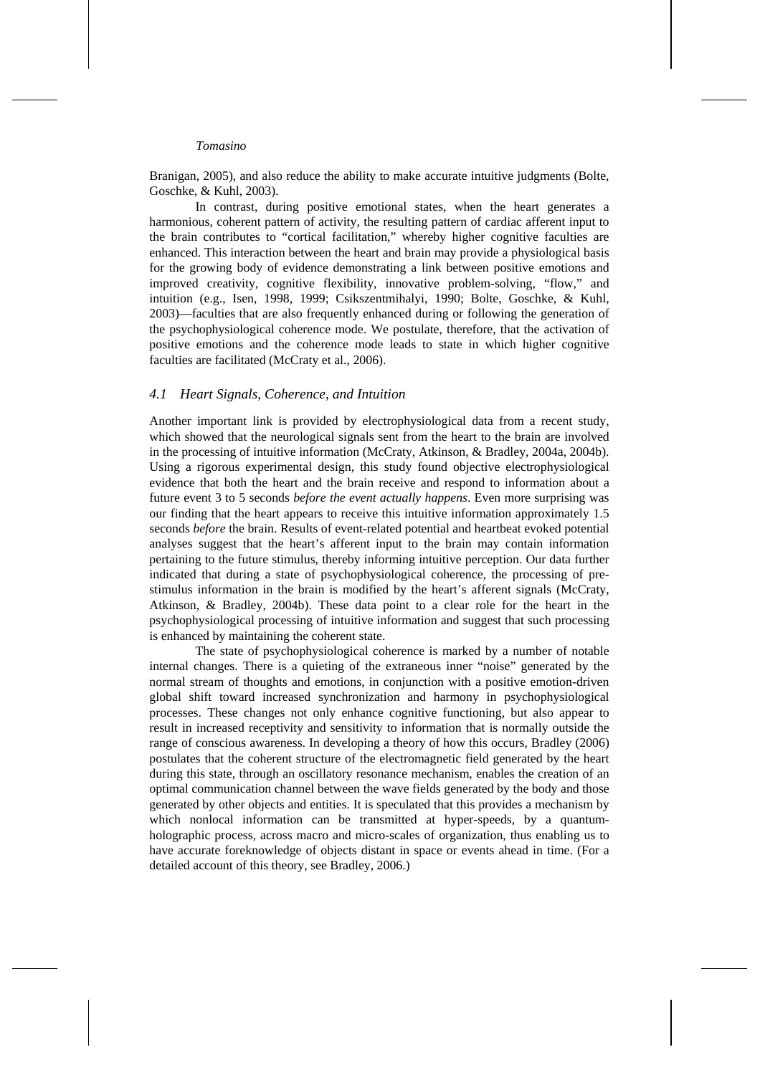Branigan, 2005), and also reduce the ability to make accurate intuitive judgments (Bolte, Goschke, & Kuhl, 2003).

 In contrast, during positive emotional states, when the heart generates a harmonious, coherent pattern of activity, the resulting pattern of cardiac afferent input to the brain contributes to "cortical facilitation," whereby higher cognitive faculties are enhanced. This interaction between the heart and brain may provide a physiological basis for the growing body of evidence demonstrating a link between positive emotions and improved creativity, cognitive flexibility, innovative problem-solving, "flow," and intuition (e.g., Isen, 1998, 1999; Csikszentmihalyi, 1990; Bolte, Goschke, & Kuhl, 2003)—faculties that are also frequently enhanced during or following the generation of the psychophysiological coherence mode. We postulate, therefore, that the activation of positive emotions and the coherence mode leads to state in which higher cognitive faculties are facilitated (McCraty et al., 2006).

#### *4.1 Heart Signals, Coherence, and Intuition*

Another important link is provided by electrophysiological data from a recent study, which showed that the neurological signals sent from the heart to the brain are involved in the processing of intuitive information (McCraty, Atkinson, & Bradley, 2004a, 2004b). Using a rigorous experimental design, this study found objective electrophysiological evidence that both the heart and the brain receive and respond to information about a future event 3 to 5 seconds *before the event actually happens*. Even more surprising was our finding that the heart appears to receive this intuitive information approximately 1.5 seconds *before* the brain. Results of event-related potential and heartbeat evoked potential analyses suggest that the heart's afferent input to the brain may contain information pertaining to the future stimulus, thereby informing intuitive perception. Our data further indicated that during a state of psychophysiological coherence, the processing of prestimulus information in the brain is modified by the heart's afferent signals (McCraty, Atkinson, & Bradley, 2004b). These data point to a clear role for the heart in the psychophysiological processing of intuitive information and suggest that such processing is enhanced by maintaining the coherent state.

 The state of psychophysiological coherence is marked by a number of notable internal changes. There is a quieting of the extraneous inner "noise" generated by the normal stream of thoughts and emotions, in conjunction with a positive emotion-driven global shift toward increased synchronization and harmony in psychophysiological processes. These changes not only enhance cognitive functioning, but also appear to result in increased receptivity and sensitivity to information that is normally outside the range of conscious awareness. In developing a theory of how this occurs, Bradley (2006) postulates that the coherent structure of the electromagnetic field generated by the heart during this state, through an oscillatory resonance mechanism, enables the creation of an optimal communication channel between the wave fields generated by the body and those generated by other objects and entities. It is speculated that this provides a mechanism by which nonlocal information can be transmitted at hyper-speeds, by a quantumholographic process, across macro and micro-scales of organization, thus enabling us to have accurate foreknowledge of objects distant in space or events ahead in time. (For a detailed account of this theory, see Bradley, 2006.)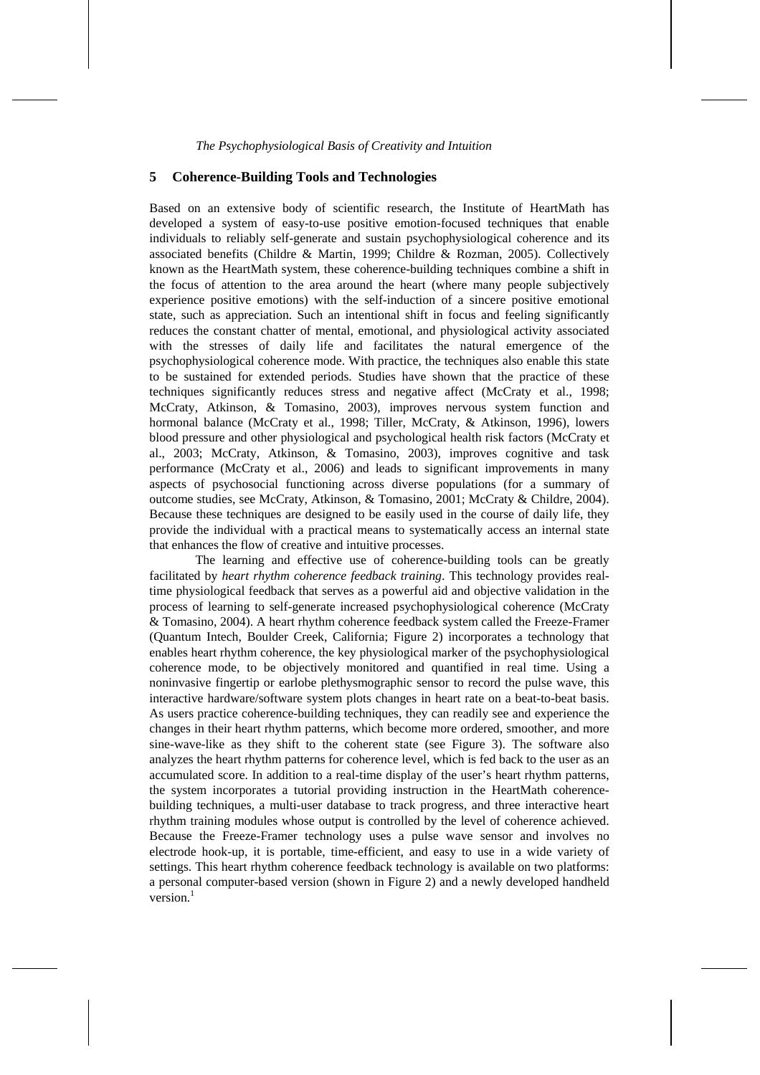## **5 Coherence-Building Tools and Technologies**

Based on an extensive body of scientific research, the Institute of HeartMath has developed a system of easy-to-use positive emotion-focused techniques that enable individuals to reliably self-generate and sustain psychophysiological coherence and its associated benefits (Childre & Martin, 1999; Childre & Rozman, 2005). Collectively known as the HeartMath system, these coherence-building techniques combine a shift in the focus of attention to the area around the heart (where many people subjectively experience positive emotions) with the self-induction of a sincere positive emotional state, such as appreciation. Such an intentional shift in focus and feeling significantly reduces the constant chatter of mental, emotional, and physiological activity associated with the stresses of daily life and facilitates the natural emergence of the psychophysiological coherence mode. With practice, the techniques also enable this state to be sustained for extended periods. Studies have shown that the practice of these techniques significantly reduces stress and negative affect (McCraty et al., 1998; McCraty, Atkinson, & Tomasino, 2003), improves nervous system function and hormonal balance (McCraty et al., 1998; Tiller, McCraty, & Atkinson, 1996), lowers blood pressure and other physiological and psychological health risk factors (McCraty et al., 2003; McCraty, Atkinson, & Tomasino, 2003), improves cognitive and task performance (McCraty et al., 2006) and leads to significant improvements in many aspects of psychosocial functioning across diverse populations (for a summary of outcome studies, see McCraty, Atkinson, & Tomasino, 2001; McCraty & Childre, 2004). Because these techniques are designed to be easily used in the course of daily life, they provide the individual with a practical means to systematically access an internal state that enhances the flow of creative and intuitive processes.

 The learning and effective use of coherence-building tools can be greatly facilitated by *heart rhythm coherence feedback training*. This technology provides realtime physiological feedback that serves as a powerful aid and objective validation in the process of learning to self-generate increased psychophysiological coherence (McCraty & Tomasino, 2004). A heart rhythm coherence feedback system called the Freeze-Framer (Quantum Intech, Boulder Creek, California; Figure 2) incorporates a technology that enables heart rhythm coherence, the key physiological marker of the psychophysiological coherence mode, to be objectively monitored and quantified in real time. Using a noninvasive fingertip or earlobe plethysmographic sensor to record the pulse wave, this interactive hardware/software system plots changes in heart rate on a beat-to-beat basis. As users practice coherence-building techniques, they can readily see and experience the changes in their heart rhythm patterns, which become more ordered, smoother, and more sine-wave-like as they shift to the coherent state (see Figure 3). The software also analyzes the heart rhythm patterns for coherence level, which is fed back to the user as an accumulated score. In addition to a real-time display of the user's heart rhythm patterns, the system incorporates a tutorial providing instruction in the HeartMath coherencebuilding techniques, a multi-user database to track progress, and three interactive heart rhythm training modules whose output is controlled by the level of coherence achieved. Because the Freeze-Framer technology uses a pulse wave sensor and involves no electrode hook-up, it is portable, time-efficient, and easy to use in a wide variety of settings. This heart rhythm coherence feedback technology is available on two platforms: a personal computer-based version (shown in Figure 2) and a newly developed handheld version.<sup>1</sup>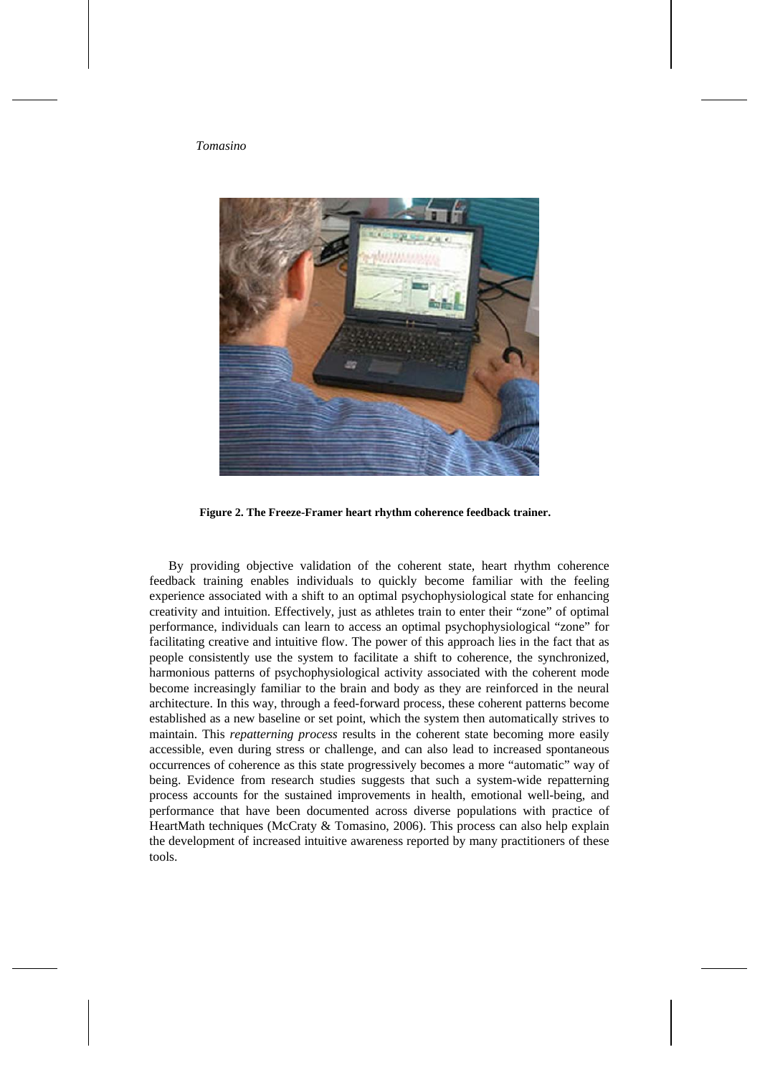

**Figure 2. The Freeze-Framer heart rhythm coherence feedback trainer.** 

By providing objective validation of the coherent state, heart rhythm coherence feedback training enables individuals to quickly become familiar with the feeling experience associated with a shift to an optimal psychophysiological state for enhancing creativity and intuition. Effectively, just as athletes train to enter their "zone" of optimal performance, individuals can learn to access an optimal psychophysiological "zone" for facilitating creative and intuitive flow. The power of this approach lies in the fact that as people consistently use the system to facilitate a shift to coherence, the synchronized, harmonious patterns of psychophysiological activity associated with the coherent mode become increasingly familiar to the brain and body as they are reinforced in the neural architecture. In this way, through a feed-forward process, these coherent patterns become established as a new baseline or set point, which the system then automatically strives to maintain. This *repatterning process* results in the coherent state becoming more easily accessible, even during stress or challenge, and can also lead to increased spontaneous occurrences of coherence as this state progressively becomes a more "automatic" way of being. Evidence from research studies suggests that such a system-wide repatterning process accounts for the sustained improvements in health, emotional well-being, and performance that have been documented across diverse populations with practice of HeartMath techniques (McCraty & Tomasino, 2006). This process can also help explain the development of increased intuitive awareness reported by many practitioners of these tools.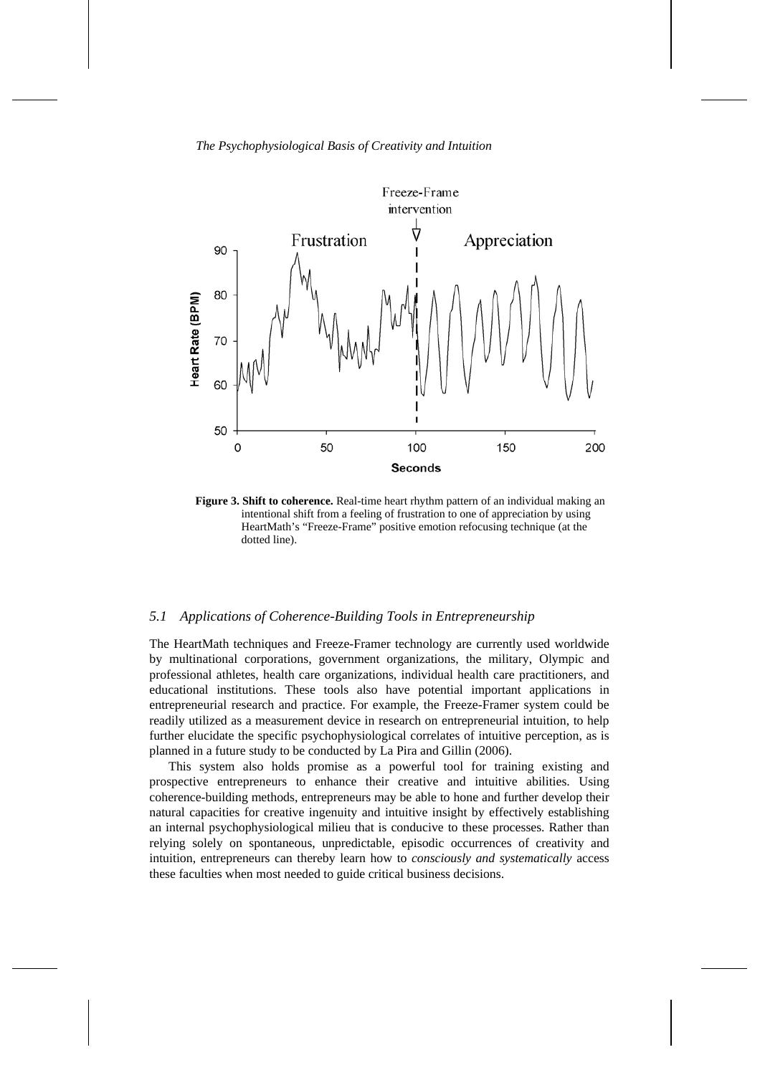

**Figure 3. Shift to coherence.** Real-time heart rhythm pattern of an individual making an intentional shift from a feeling of frustration to one of appreciation by using HeartMath's "Freeze-Frame" positive emotion refocusing technique (at the dotted line).

#### *5.1 Applications of Coherence-Building Tools in Entrepreneurship*

The HeartMath techniques and Freeze-Framer technology are currently used worldwide by multinational corporations, government organizations, the military, Olympic and professional athletes, health care organizations, individual health care practitioners, and educational institutions. These tools also have potential important applications in entrepreneurial research and practice. For example, the Freeze-Framer system could be readily utilized as a measurement device in research on entrepreneurial intuition, to help further elucidate the specific psychophysiological correlates of intuitive perception, as is planned in a future study to be conducted by La Pira and Gillin (2006).

This system also holds promise as a powerful tool for training existing and prospective entrepreneurs to enhance their creative and intuitive abilities. Using coherence-building methods, entrepreneurs may be able to hone and further develop their natural capacities for creative ingenuity and intuitive insight by effectively establishing an internal psychophysiological milieu that is conducive to these processes. Rather than relying solely on spontaneous, unpredictable, episodic occurrences of creativity and intuition, entrepreneurs can thereby learn how to *consciously and systematically* access these faculties when most needed to guide critical business decisions.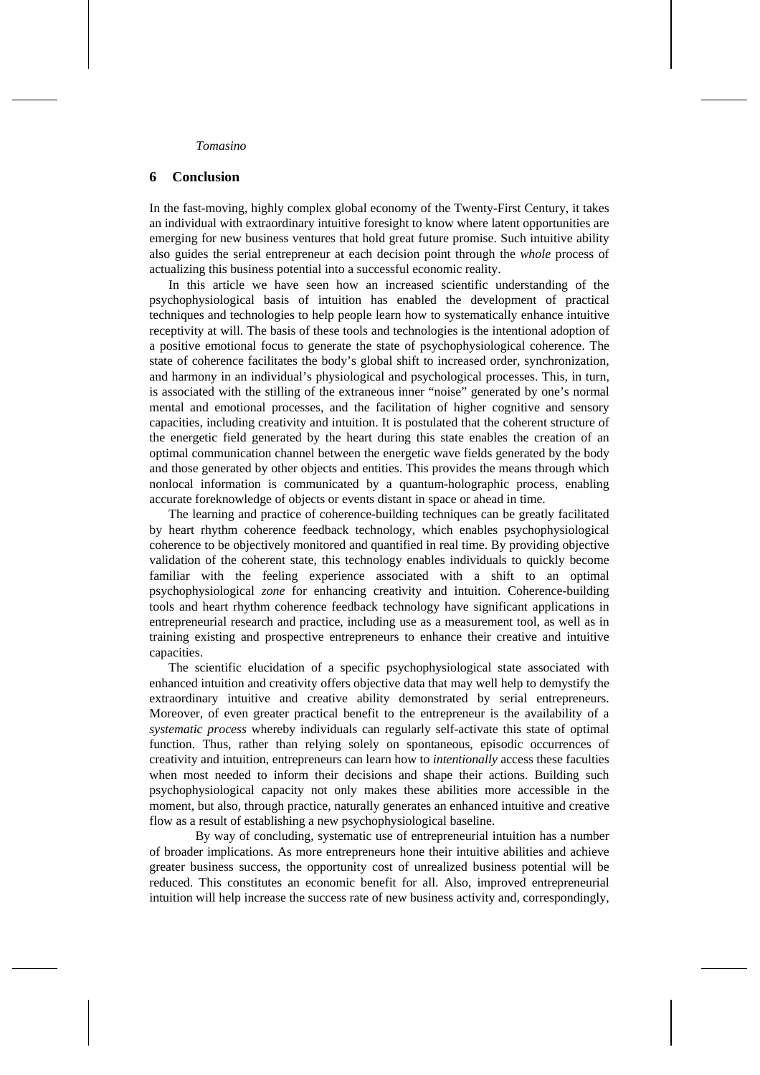## **6 Conclusion**

In the fast-moving, highly complex global economy of the Twenty-First Century, it takes an individual with extraordinary intuitive foresight to know where latent opportunities are emerging for new business ventures that hold great future promise. Such intuitive ability also guides the serial entrepreneur at each decision point through the *whole* process of actualizing this business potential into a successful economic reality.

In this article we have seen how an increased scientific understanding of the psychophysiological basis of intuition has enabled the development of practical techniques and technologies to help people learn how to systematically enhance intuitive receptivity at will. The basis of these tools and technologies is the intentional adoption of a positive emotional focus to generate the state of psychophysiological coherence. The state of coherence facilitates the body's global shift to increased order, synchronization, and harmony in an individual's physiological and psychological processes. This, in turn, is associated with the stilling of the extraneous inner "noise" generated by one's normal mental and emotional processes, and the facilitation of higher cognitive and sensory capacities, including creativity and intuition. It is postulated that the coherent structure of the energetic field generated by the heart during this state enables the creation of an optimal communication channel between the energetic wave fields generated by the body and those generated by other objects and entities. This provides the means through which nonlocal information is communicated by a quantum-holographic process, enabling accurate foreknowledge of objects or events distant in space or ahead in time.

The learning and practice of coherence-building techniques can be greatly facilitated by heart rhythm coherence feedback technology, which enables psychophysiological coherence to be objectively monitored and quantified in real time. By providing objective validation of the coherent state, this technology enables individuals to quickly become familiar with the feeling experience associated with a shift to an optimal psychophysiological *zone* for enhancing creativity and intuition. Coherence-building tools and heart rhythm coherence feedback technology have significant applications in entrepreneurial research and practice, including use as a measurement tool, as well as in training existing and prospective entrepreneurs to enhance their creative and intuitive capacities.

The scientific elucidation of a specific psychophysiological state associated with enhanced intuition and creativity offers objective data that may well help to demystify the extraordinary intuitive and creative ability demonstrated by serial entrepreneurs. Moreover, of even greater practical benefit to the entrepreneur is the availability of a *systematic process* whereby individuals can regularly self-activate this state of optimal function. Thus, rather than relying solely on spontaneous, episodic occurrences of creativity and intuition, entrepreneurs can learn how to *intentionally* access these faculties when most needed to inform their decisions and shape their actions. Building such psychophysiological capacity not only makes these abilities more accessible in the moment, but also, through practice, naturally generates an enhanced intuitive and creative flow as a result of establishing a new psychophysiological baseline.

 By way of concluding, systematic use of entrepreneurial intuition has a number of broader implications. As more entrepreneurs hone their intuitive abilities and achieve greater business success, the opportunity cost of unrealized business potential will be reduced. This constitutes an economic benefit for all. Also, improved entrepreneurial intuition will help increase the success rate of new business activity and, correspondingly,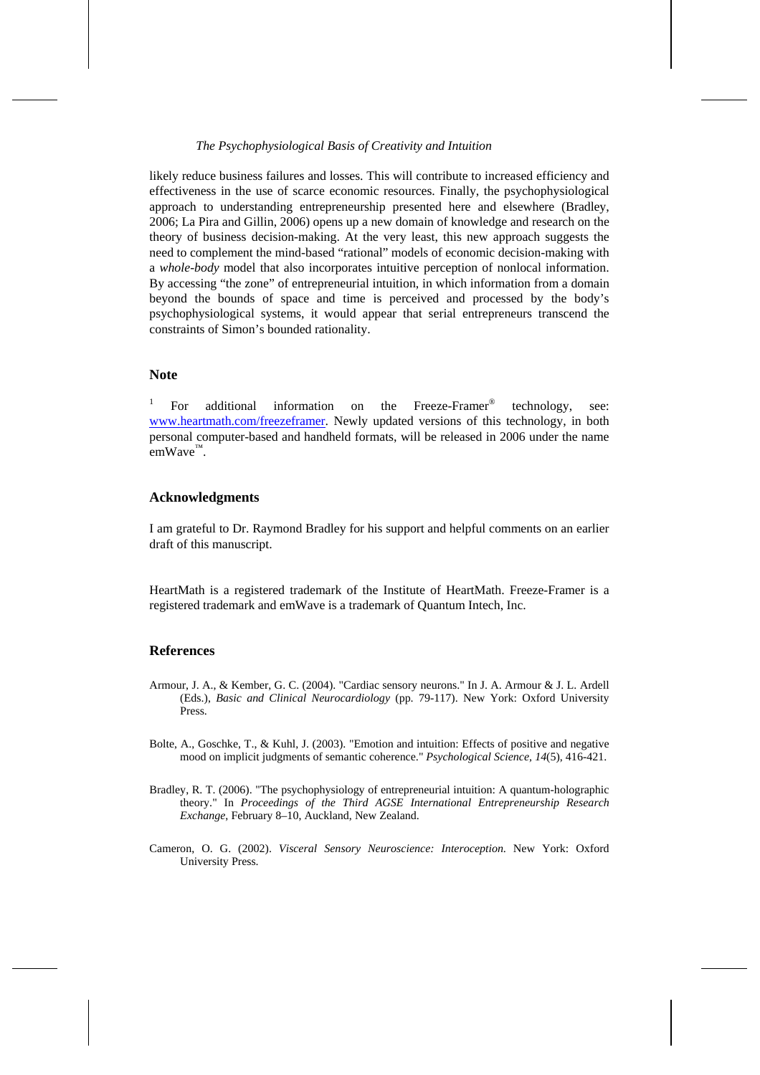likely reduce business failures and losses. This will contribute to increased efficiency and effectiveness in the use of scarce economic resources. Finally, the psychophysiological approach to understanding entrepreneurship presented here and elsewhere (Bradley, 2006; La Pira and Gillin, 2006) opens up a new domain of knowledge and research on the theory of business decision-making. At the very least, this new approach suggests the need to complement the mind-based "rational" models of economic decision-making with a *whole-body* model that also incorporates intuitive perception of nonlocal information. By accessing "the zone" of entrepreneurial intuition, in which information from a domain beyond the bounds of space and time is perceived and processed by the body's psychophysiological systems, it would appear that serial entrepreneurs transcend the constraints of Simon's bounded rationality.

## **Note**

1 For additional information on the Freeze-Framer® technology, see: [www.heartmath.com/freezeframer.](http://www.heartmath.com/freezeframer) Newly updated versions of this technology, in both personal computer-based and handheld formats, will be released in 2006 under the name emWave™.

## **Acknowledgments**

I am grateful to Dr. Raymond Bradley for his support and helpful comments on an earlier draft of this manuscript.

HeartMath is a registered trademark of the Institute of HeartMath. Freeze-Framer is a registered trademark and emWave is a trademark of Quantum Intech, Inc.

#### **References**

- Armour, J. A., & Kember, G. C. (2004). "Cardiac sensory neurons." In J. A. Armour & J. L. Ardell (Eds.), *Basic and Clinical Neurocardiology* (pp. 79-117). New York: Oxford University Press.
- Bolte, A., Goschke, T., & Kuhl, J. (2003). "Emotion and intuition: Effects of positive and negative mood on implicit judgments of semantic coherence." *Psychological Science, 14*(5), 416-421.
- Bradley, R. T. (2006). "The psychophysiology of entrepreneurial intuition: A quantum-holographic theory." In *Proceedings of the Third AGSE International Entrepreneurship Research Exchange*, February 8–10, Auckland, New Zealand.
- Cameron, O. G. (2002). *Visceral Sensory Neuroscience: Interoception*. New York: Oxford University Press.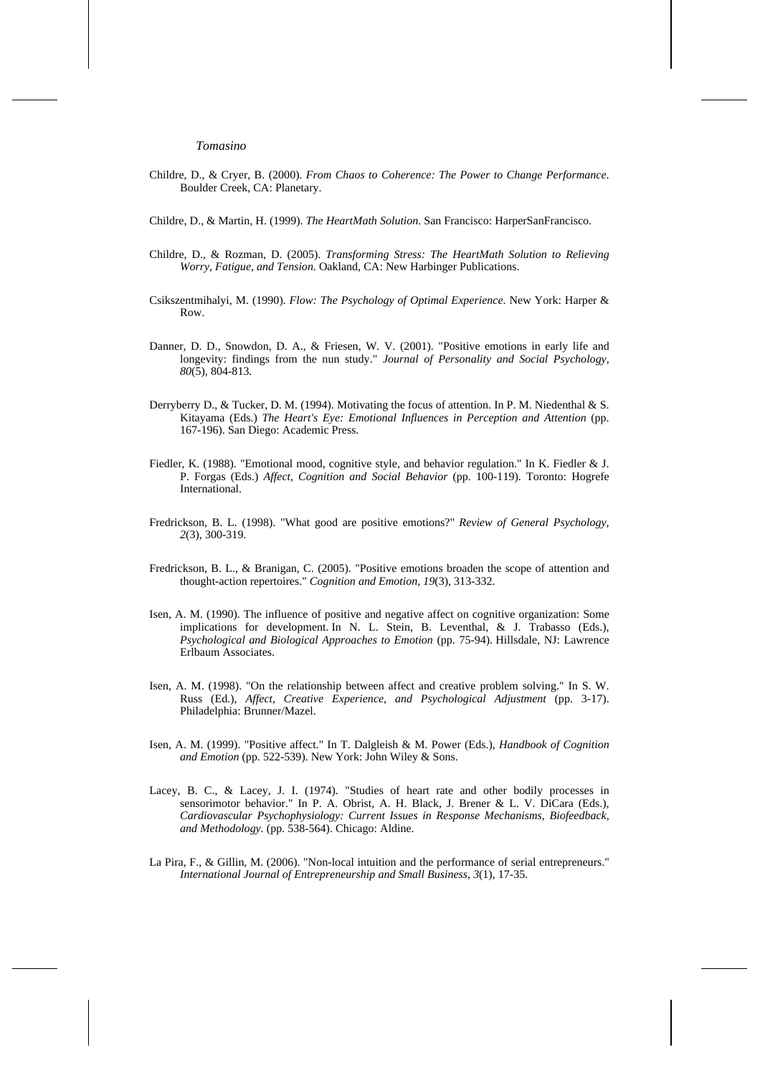- Childre, D., & Cryer, B. (2000). *From Chaos to Coherence: The Power to Change Performance*. Boulder Creek, CA: Planetary.
- Childre, D., & Martin, H. (1999). *The HeartMath Solution*. San Francisco: HarperSanFrancisco.
- Childre, D., & Rozman, D. (2005). *Transforming Stress: The HeartMath Solution to Relieving Worry, Fatigue, and Tension*. Oakland, CA: New Harbinger Publications.
- Csikszentmihalyi, M. (1990). *Flow: The Psychology of Optimal Experience*. New York: Harper & Row.
- Danner, D. D., Snowdon, D. A., & Friesen, W. V. (2001). "Positive emotions in early life and longevity: findings from the nun study." *Journal of Personality and Social Psychology, 80*(5), 804-813.
- Derryberry D., & Tucker, D. M. (1994). Motivating the focus of attention. In P. M. Niedenthal & S. Kitayama (Eds.) *The Heart's Eye: Emotional Influences in Perception and Attention* (pp. 167-196). San Diego: Academic Press.
- Fiedler, K. (1988). "Emotional mood, cognitive style, and behavior regulation." In K. Fiedler & J. P. Forgas (Eds.) *Affect, Cognition and Social Behavior* (pp. 100-119). Toronto: Hogrefe International.
- Fredrickson, B. L. (1998). "What good are positive emotions?" *Review of General Psychology, 2*(3), 300-319.
- Fredrickson, B. L., & Branigan, C. (2005). "Positive emotions broaden the scope of attention and thought-action repertoires." *Cognition and Emotion, 19*(3), 313-332.
- Isen, A. M. (1990). The influence of positive and negative affect on cognitive organization: Some implications for development. In N. L. Stein, B. Leventhal, & J. Trabasso (Eds.), *Psychological and Biological Approaches to Emotion* (pp. 75-94). Hillsdale, NJ: Lawrence Erlbaum Associates.
- Isen, A. M. (1998). "On the relationship between affect and creative problem solving." In S. W. Russ (Ed.), *Affect, Creative Experience, and Psychological Adjustment* (pp. 3-17). Philadelphia: Brunner/Mazel.
- Isen, A. M. (1999). "Positive affect." In T. Dalgleish & M. Power (Eds.), *Handbook of Cognition and Emotion* (pp. 522-539). New York: John Wiley & Sons.
- Lacey, B. C., & Lacey, J. I. (1974). "Studies of heart rate and other bodily processes in sensorimotor behavior." In P. A. Obrist, A. H. Black, J. Brener & L. V. DiCara (Eds.), *Cardiovascular Psychophysiology: Current Issues in Response Mechanisms, Biofeedback, and Methodology.* (pp. 538-564). Chicago: Aldine.
- La Pira, F., & Gillin, M. (2006). "Non-local intuition and the performance of serial entrepreneurs." *International Journal of Entrepreneurship and Small Business, 3*(1), 17-35.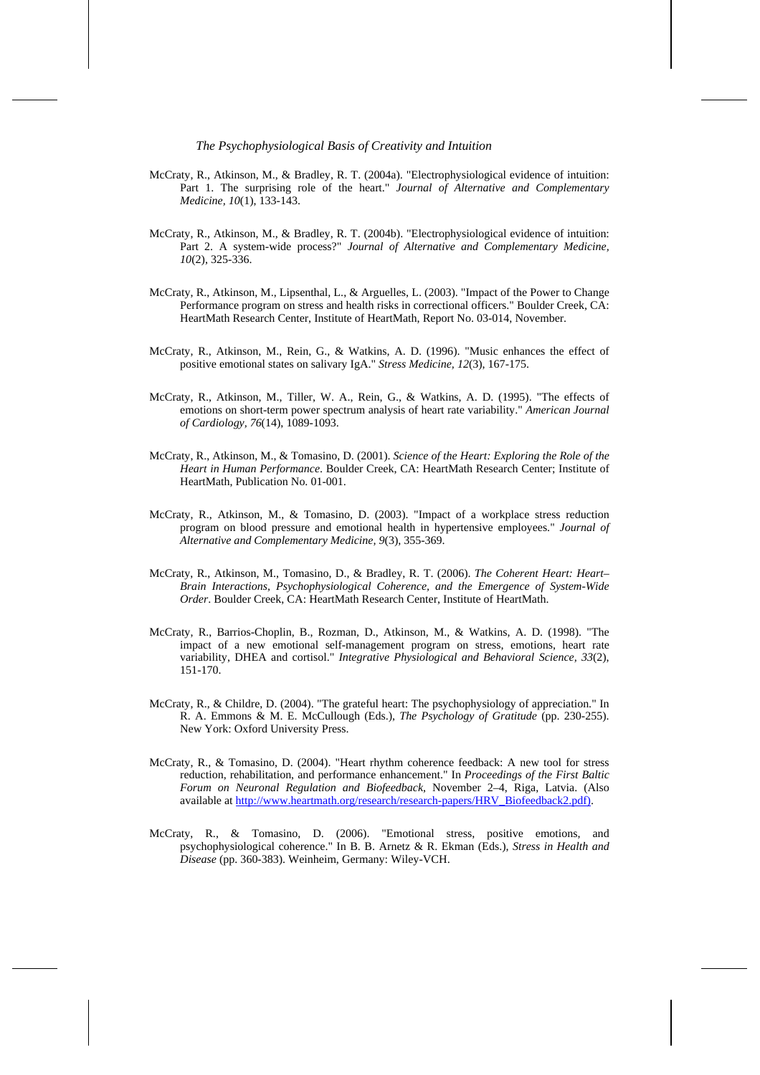- McCraty, R., Atkinson, M., & Bradley, R. T. (2004a). "Electrophysiological evidence of intuition: Part 1. The surprising role of the heart." *Journal of Alternative and Complementary Medicine, 10*(1), 133-143.
- McCraty, R., Atkinson, M., & Bradley, R. T. (2004b). "Electrophysiological evidence of intuition: Part 2. A system-wide process?" *Journal of Alternative and Complementary Medicine, 10*(2), 325-336.
- McCraty, R., Atkinson, M., Lipsenthal, L., & Arguelles, L. (2003). "Impact of the Power to Change Performance program on stress and health risks in correctional officers." Boulder Creek, CA: HeartMath Research Center, Institute of HeartMath, Report No. 03-014, November.
- McCraty, R., Atkinson, M., Rein, G., & Watkins, A. D. (1996). "Music enhances the effect of positive emotional states on salivary IgA." *Stress Medicine, 12*(3), 167-175.
- McCraty, R., Atkinson, M., Tiller, W. A., Rein, G., & Watkins, A. D. (1995). "The effects of emotions on short-term power spectrum analysis of heart rate variability." *American Journal of Cardiology, 76*(14), 1089-1093.
- McCraty, R., Atkinson, M., & Tomasino, D. (2001). *Science of the Heart: Exploring the Role of the Heart in Human Performance*. Boulder Creek, CA: HeartMath Research Center; Institute of HeartMath, Publication No. 01-001.
- McCraty, R., Atkinson, M., & Tomasino, D. (2003). "Impact of a workplace stress reduction program on blood pressure and emotional health in hypertensive employees." *Journal of Alternative and Complementary Medicine, 9*(3), 355-369.
- McCraty, R., Atkinson, M., Tomasino, D., & Bradley, R. T. (2006). *The Coherent Heart: Heart– Brain Interactions, Psychophysiological Coherence, and the Emergence of System-Wide Order*. Boulder Creek, CA: HeartMath Research Center, Institute of HeartMath.
- McCraty, R., Barrios-Choplin, B., Rozman, D., Atkinson, M., & Watkins, A. D. (1998). "The impact of a new emotional self-management program on stress, emotions, heart rate variability, DHEA and cortisol." *Integrative Physiological and Behavioral Science, 33*(2), 151-170.
- McCraty, R., & Childre, D. (2004). "The grateful heart: The psychophysiology of appreciation." In R. A. Emmons & M. E. McCullough (Eds.), *The Psychology of Gratitude* (pp. 230-255). New York: Oxford University Press.
- McCraty, R., & Tomasino, D. (2004). "Heart rhythm coherence feedback: A new tool for stress reduction, rehabilitation, and performance enhancement." In *Proceedings of the First Baltic Forum on Neuronal Regulation and Biofeedback*, November 2–4, Riga, Latvia. (Also available at [http://www.heartmath.org/research/research-papers/HRV\\_Biofeedback2.pdf\).](http://www.heartmath.org/research/research-papers/HRV_Biofeedback2.pdf))
- McCraty, R., & Tomasino, D. (2006). "Emotional stress, positive emotions, and psychophysiological coherence." In B. B. Arnetz & R. Ekman (Eds.), *Stress in Health and Disease* (pp. 360-383). Weinheim, Germany: Wiley-VCH.